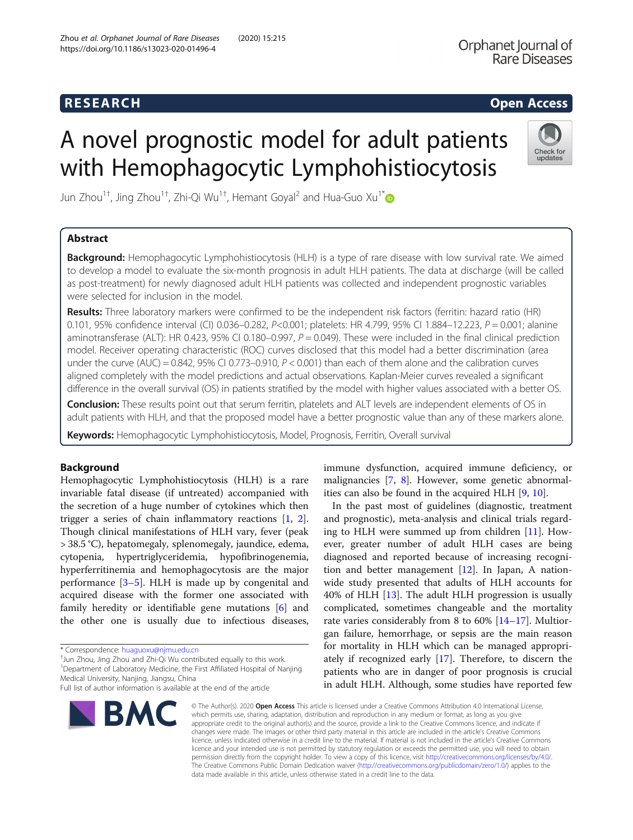## **RESEARCH RESEARCH CHOOSE ACCESS**

Check for undates

# A novel prognostic model for adult patients with Hemophagocytic Lymphohistiocytosis

Jun Zhou<sup>1†</sup>, Jing Zhou<sup>1†</sup>, Zhi-Qi Wu<sup>1†</sup>, Hemant Goyal<sup>2</sup> and Hua-Guo Xu<sup>1[\\*](http://orcid.org/0000-0001-7170-9445)</sup>

### Abstract

**Background:** Hemophagocytic Lymphohistiocytosis (HLH) is a type of rare disease with low survival rate. We aimed to develop a model to evaluate the six-month prognosis in adult HLH patients. The data at discharge (will be called as post-treatment) for newly diagnosed adult HLH patients was collected and independent prognostic variables were selected for inclusion in the model.

Results: Three laboratory markers were confirmed to be the independent risk factors (ferritin: hazard ratio (HR) 0.101, 95% confidence interval (CI) 0.036-0.282, P<0.001; platelets: HR 4.799, 95% CI 1.884-12.223, P = 0.001; alanine aminotransferase (ALT): HR 0.423, 95% CI 0.180–0.997,  $P = 0.049$ ). These were included in the final clinical prediction model. Receiver operating characteristic (ROC) curves disclosed that this model had a better discrimination (area under the curve (AUC) =  $0.842$ , 95% CI 0.773–0.910, P < 0.001) than each of them alone and the calibration curves aligned completely with the model predictions and actual observations. Kaplan-Meier curves revealed a significant difference in the overall survival (OS) in patients stratified by the model with higher values associated with a better OS.

Conclusion: These results point out that serum ferritin, platelets and ALT levels are independent elements of OS in adult patients with HLH, and that the proposed model have a better prognostic value than any of these markers alone.

Keywords: Hemophagocytic Lymphohistiocytosis, Model, Prognosis, Ferritin, Overall survival

#### Background

Hemophagocytic Lymphohistiocytosis (HLH) is a rare invariable fatal disease (if untreated) accompanied with the secretion of a huge number of cytokines which then trigger a series of chain inflammatory reactions [[1](#page-6-0), [2](#page-6-0)]. Though clinical manifestations of HLH vary, fever (peak > 38.5 °C), hepatomegaly, splenomegaly, jaundice, edema, cytopenia, hypertriglyceridemia, hypofibrinogenemia, hyperferritinemia and hemophagocytosis are the major performance [[3](#page-6-0)–[5](#page-6-0)]. HLH is made up by congenital and acquired disease with the former one associated with family heredity or identifiable gene mutations [\[6](#page-6-0)] and the other one is usually due to infectious diseases,

 $^{\dagger}$ Jun Zhou, Jing Zhou and Zhi-Qi Wu contributed equally to this work.

<sup>1</sup>Department of Laboratory Medicine, the First Affiliated Hospital of Nanjing Medical University, Nanjing, Jiangsu, China

Full list of author information is available at the end of the article



immune dysfunction, acquired immune deficiency, or malignancies [\[7](#page-6-0), [8](#page-6-0)]. However, some genetic abnormalities can also be found in the acquired HLH [[9,](#page-6-0) [10\]](#page-6-0).

In the past most of guidelines (diagnostic, treatment and prognostic), meta-analysis and clinical trials regarding to HLH were summed up from children [[11\]](#page-6-0). However, greater number of adult HLH cases are being diagnosed and reported because of increasing recognition and better management [[12](#page-6-0)]. In Japan, A nationwide study presented that adults of HLH accounts for 40% of HLH [\[13](#page-6-0)]. The adult HLH progression is usually complicated, sometimes changeable and the mortality rate varies considerably from 8 to 60% [\[14](#page-6-0)–[17](#page-6-0)]. Multiorgan failure, hemorrhage, or sepsis are the main reason for mortality in HLH which can be managed appropriately if recognized early [\[17\]](#page-6-0). Therefore, to discern the patients who are in danger of poor prognosis is crucial in adult HLH. Although, some studies have reported few

© The Author(s), 2020 **Open Access** This article is licensed under a Creative Commons Attribution 4.0 International License, which permits use, sharing, adaptation, distribution and reproduction in any medium or format, as long as you give appropriate credit to the original author(s) and the source, provide a link to the Creative Commons licence, and indicate if changes were made. The images or other third party material in this article are included in the article's Creative Commons licence, unless indicated otherwise in a credit line to the material. If material is not included in the article's Creative Commons licence and your intended use is not permitted by statutory regulation or exceeds the permitted use, you will need to obtain permission directly from the copyright holder. To view a copy of this licence, visit [http://creativecommons.org/licenses/by/4.0/.](http://creativecommons.org/licenses/by/4.0/) The Creative Commons Public Domain Dedication waiver [\(http://creativecommons.org/publicdomain/zero/1.0/](http://creativecommons.org/publicdomain/zero/1.0/)) applies to the data made available in this article, unless otherwise stated in a credit line to the data.

<sup>\*</sup> Correspondence: [huaguoxu@njmu.edu.cn](mailto:huaguoxu@njmu.edu.cn) †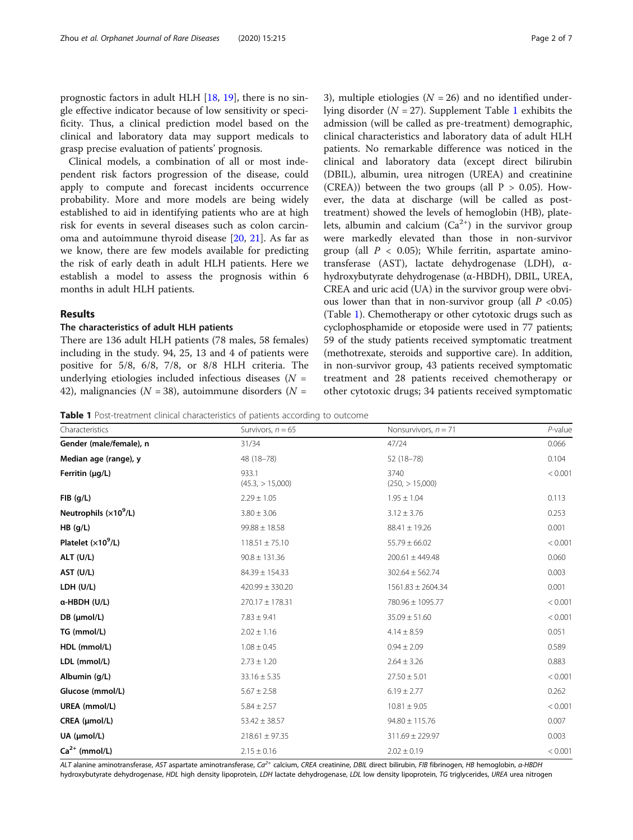prognostic factors in adult HLH [\[18,](#page-6-0) [19\]](#page-6-0), there is no single effective indicator because of low sensitivity or specificity. Thus, a clinical prediction model based on the clinical and laboratory data may support medicals to grasp precise evaluation of patients' prognosis.

Clinical models, a combination of all or most independent risk factors progression of the disease, could apply to compute and forecast incidents occurrence probability. More and more models are being widely established to aid in identifying patients who are at high risk for events in several diseases such as colon carcinoma and autoimmune thyroid disease [[20,](#page-6-0) [21](#page-6-0)]. As far as we know, there are few models available for predicting the risk of early death in adult HLH patients. Here we establish a model to assess the prognosis within 6 months in adult HLH patients.

#### Results

#### The characteristics of adult HLH patients

There are 136 adult HLH patients (78 males, 58 females) including in the study. 94, 25, 13 and 4 of patients were positive for 5/8, 6/8, 7/8, or 8/8 HLH criteria. The underlying etiologies included infectious diseases  $(N =$ 42), malignancies ( $N = 38$ ), autoimmune disorders ( $N =$ 

3), multiple etiologies ( $N = 26$ ) and no identified underlying disorder ( $N = 27$ ). Supplement Table [1](#page-5-0) exhibits the admission (will be called as pre-treatment) demographic, clinical characteristics and laboratory data of adult HLH patients. No remarkable difference was noticed in the clinical and laboratory data (except direct bilirubin (DBIL), albumin, urea nitrogen (UREA) and creatinine (CREA)) between the two groups (all  $P > 0.05$ ). However, the data at discharge (will be called as posttreatment) showed the levels of hemoglobin (HB), platelets, albumin and calcium  $(Ca^{2+})$  in the survivor group were markedly elevated than those in non-survivor group (all  $P < 0.05$ ); While ferritin, aspartate aminotransferase (AST), lactate dehydrogenase (LDH), αhydroxybutyrate dehydrogenase (α-HBDH), DBIL, UREA, CREA and uric acid (UA) in the survivor group were obvious lower than that in non-survivor group (all  $P < 0.05$ ) (Table 1). Chemotherapy or other cytotoxic drugs such as cyclophosphamide or etoposide were used in 77 patients; 59 of the study patients received symptomatic treatment (methotrexate, steroids and supportive care). In addition, in non-survivor group, 43 patients received symptomatic treatment and 28 patients received chemotherapy or other cytotoxic drugs; 34 patients received symptomatic

Table 1 Post-treatment clinical characteristics of patients according to outcome

| Characteristics<br>Nonsurvivors, $n = 71$<br>Survivors, $n = 65$<br>Gender (male/female), n<br>31/34<br>47/24<br>Median age (range), y<br>48 (18-78)<br>52 (18-78) | $P$ -value<br>0.066<br>0.104<br>< 0.001 |
|--------------------------------------------------------------------------------------------------------------------------------------------------------------------|-----------------------------------------|
|                                                                                                                                                                    |                                         |
|                                                                                                                                                                    |                                         |
|                                                                                                                                                                    |                                         |
| 933.1<br>3740<br>Ferritin $(\mu q/L)$<br>(250, > 15,000)<br>(45.3, > 15,000)                                                                                       |                                         |
| $FIB$ (g/L)<br>$2.29 \pm 1.05$<br>$1.95 \pm 1.04$                                                                                                                  | 0.113                                   |
| Neutrophils $(x10^9/L)$<br>$3.80 \pm 3.06$<br>$3.12 \pm 3.76$                                                                                                      | 0.253                                   |
| HB (g/L)<br>$99.88 \pm 18.58$<br>$88.41 \pm 19.26$                                                                                                                 | 0.001                                   |
| Platelet $(x10^9/L)$<br>$118.51 \pm 75.10$<br>$55.79 \pm 66.02$                                                                                                    | < 0.001                                 |
| ALT (U/L)<br>$90.8 \pm 131.36$<br>$200.61 \pm 449.48$                                                                                                              | 0.060                                   |
| AST (U/L)<br>$84.39 \pm 154.33$<br>$302.64 \pm 562.74$                                                                                                             | 0.003                                   |
| LDH (U/L)<br>$420.99 \pm 330.20$<br>$1561.83 \pm 2604.34$                                                                                                          | 0.001                                   |
| α-HBDH (U/L)<br>$270.17 \pm 178.31$<br>780.96 ± 1095.77                                                                                                            | < 0.001                                 |
| DB (µmol/L)<br>$7.83 \pm 9.41$<br>$35.09 \pm 51.60$                                                                                                                | < 0.001                                 |
| TG (mmol/L)<br>$2.02 \pm 1.16$<br>$4.14 \pm 8.59$                                                                                                                  | 0.051                                   |
| HDL (mmol/L)<br>$1.08 \pm 0.45$<br>$0.94 \pm 2.09$                                                                                                                 | 0.589                                   |
| LDL (mmol/L)<br>$2.73 \pm 1.20$<br>$2.64 \pm 3.26$                                                                                                                 | 0.883                                   |
| Albumin (g/L)<br>$33.16 \pm 5.35$<br>$27.50 \pm 5.01$                                                                                                              | < 0.001                                 |
| Glucose (mmol/L)<br>$5.67 \pm 2.58$<br>$6.19 \pm 2.77$                                                                                                             | 0.262                                   |
| UREA (mmol/L)<br>$10.81 \pm 9.05$<br>$5.84 \pm 2.57$                                                                                                               | < 0.001                                 |
| CREA (µmol/L)<br>$94.80 \pm 115.76$<br>$53.42 \pm 38.57$                                                                                                           | 0.007                                   |
| UA (µmol/L)<br>$218.61 \pm 97.35$<br>$311.69 \pm 229.97$                                                                                                           | 0.003                                   |
| $Ca2+$ (mmol/L)<br>$2.15 \pm 0.16$<br>$2.02 \pm 0.19$                                                                                                              | < 0.001                                 |

ALT alanine aminotransferase, AST aspartate aminotransferase, Ca<sup>2+</sup> calcium, CREA creatinine, DBIL direct bilirubin, FIB fibrinogen, HB hemoglobin, α-HBDH hydroxybutyrate dehydrogenase, HDL high density lipoprotein, LDH lactate dehydrogenase, LDL low density lipoprotein, TG triglycerides, UREA urea nitrogen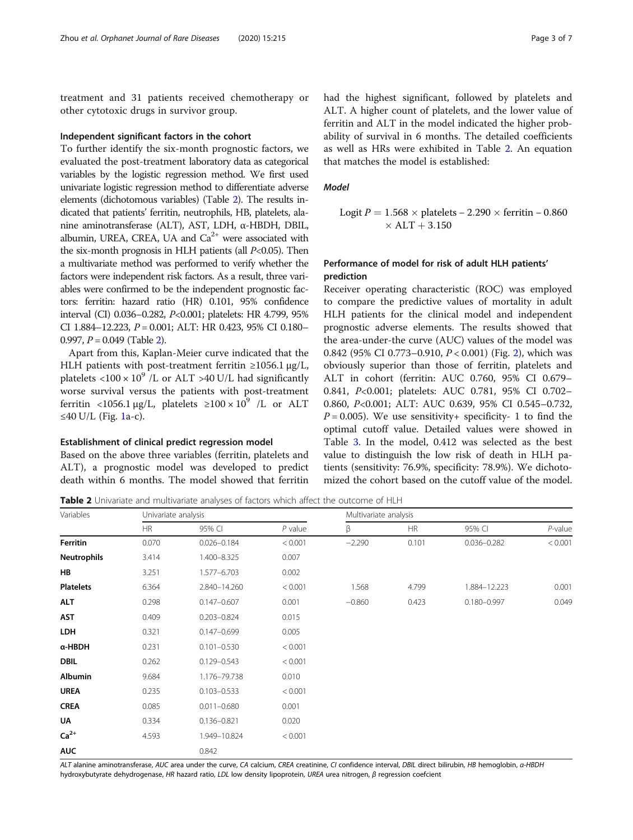treatment and 31 patients received chemotherapy or other cytotoxic drugs in survivor group.

#### Independent significant factors in the cohort

To further identify the six-month prognostic factors, we evaluated the post-treatment laboratory data as categorical variables by the logistic regression method. We first used univariate logistic regression method to differentiate adverse elements (dichotomous variables) (Table 2). The results indicated that patients' ferritin, neutrophils, HB, platelets, alanine aminotransferase (ALT), AST, LDH, α-HBDH, DBIL, albumin, UREA, CREA, UA and  $Ca^{2+}$  were associated with the six-month prognosis in HLH patients (all  $P<0.05$ ). Then a multivariate method was performed to verify whether the factors were independent risk factors. As a result, three variables were confirmed to be the independent prognostic factors: ferritin: hazard ratio (HR) 0.101, 95% confidence interval (CI) 0.036–0.282, P<0.001; platelets: HR 4.799, 95% CI 1.884-12.223,  $P = 0.001$ ; ALT: HR 0.423, 95% CI 0.180-0.997,  $P = 0.049$  (Table 2).

Apart from this, Kaplan-Meier curve indicated that the HLH patients with post-treatment ferritin  $\geq 1056.1$  μg/L, platelets  $\langle 100 \times 10^9 \rangle$  /L or ALT >40 U/L had significantly worse survival versus the patients with post-treatment ferritin <1056.1  $\mu$ g/L, platelets ≥100 × 10<sup>9</sup> /L or ALT ≤40 U/L (Fig. [1a](#page-3-0)-c).

#### Establishment of clinical predict regression model

Based on the above three variables (ferritin, platelets and ALT), a prognostic model was developed to predict death within 6 months. The model showed that ferritin had the highest significant, followed by platelets and ALT. A higher count of platelets, and the lower value of ferritin and ALT in the model indicated the higher probability of survival in 6 months. The detailed coefficients as well as HRs were exhibited in Table 2. An equation that matches the model is established:

#### Model

Logit *P* = 1.568 × platelets − 2.290 × ferritin − 0.860  
× 
$$
ALT
$$
 + 3.150

#### Performance of model for risk of adult HLH patients' prediction

Receiver operating characteristic (ROC) was employed to compare the predictive values of mortality in adult HLH patients for the clinical model and independent prognostic adverse elements. The results showed that the area-under-the curve (AUC) values of the model was 0.842 (95% CI 0.773–0.910, P < 0.001) (Fig. [2\)](#page-4-0), which was obviously superior than those of ferritin, platelets and ALT in cohort (ferritin: AUC 0.760, 95% CI 0.679– 0.841, P<0.001; platelets: AUC 0.781, 95% CI 0.702– 0.860, P<0.001; ALT: AUC 0.639, 95% CI 0.545–0.732,  $P = 0.005$ ). We use sensitivity+ specificity- 1 to find the optimal cutoff value. Detailed values were showed in Table [3](#page-4-0). In the model, 0.412 was selected as the best value to distinguish the low risk of death in HLH patients (sensitivity: 76.9%, specificity: 78.9%). We dichotomized the cohort based on the cutoff value of the model.

Table 2 Univariate and multivariate analyses of factors which affect the outcome of HLH

| Variables          | Univariate analysis |                 |           | Multivariate analysis |           |                 |            |
|--------------------|---------------------|-----------------|-----------|-----------------------|-----------|-----------------|------------|
|                    | <b>HR</b>           | 95% CI          | $P$ value | β                     | <b>HR</b> | 95% CI          | $P$ -value |
| Ferritin           | 0.070               | $0.026 - 0.184$ | < 0.001   | $-2.290$              | 0.101     | $0.036 - 0.282$ | < 0.001    |
| <b>Neutrophils</b> | 3.414               | 1.400-8.325     | 0.007     |                       |           |                 |            |
| HB                 | 3.251               | 1.577-6.703     | 0.002     |                       |           |                 |            |
| <b>Platelets</b>   | 6.364               | 2.840-14.260    | < 0.001   | 1.568                 | 4.799     | 1.884-12.223    | 0.001      |
| <b>ALT</b>         | 0.298               | $0.147 - 0.607$ | 0.001     | $-0.860$              | 0.423     | $0.180 - 0.997$ | 0.049      |
| <b>AST</b>         | 0.409               | $0.203 - 0.824$ | 0.015     |                       |           |                 |            |
| LDH                | 0.321               | $0.147 - 0.699$ | 0.005     |                       |           |                 |            |
| α-HBDH             | 0.231               | $0.101 - 0.530$ | < 0.001   |                       |           |                 |            |
| <b>DBIL</b>        | 0.262               | $0.129 - 0.543$ | < 0.001   |                       |           |                 |            |
| <b>Albumin</b>     | 9.684               | 1.176-79.738    | 0.010     |                       |           |                 |            |
| <b>UREA</b>        | 0.235               | $0.103 - 0.533$ | < 0.001   |                       |           |                 |            |
| <b>CREA</b>        | 0.085               | $0.011 - 0.680$ | 0.001     |                       |           |                 |            |
| UA                 | 0.334               | $0.136 - 0.821$ | 0.020     |                       |           |                 |            |
| $Ca2+$             | 4.593               | 1.949-10.824    | < 0.001   |                       |           |                 |            |
| <b>AUC</b>         |                     | 0.842           |           |                       |           |                 |            |

ALT alanine aminotransferase, AUC area under the curve, CA calcium, CREA creatinine, CI confidence interval, DBIL direct bilirubin, HB hemoglobin, a-HBDH hydroxybutyrate dehydrogenase, HR hazard ratio, LDL low density lipoprotein, UREA urea nitrogen, β regression coefcient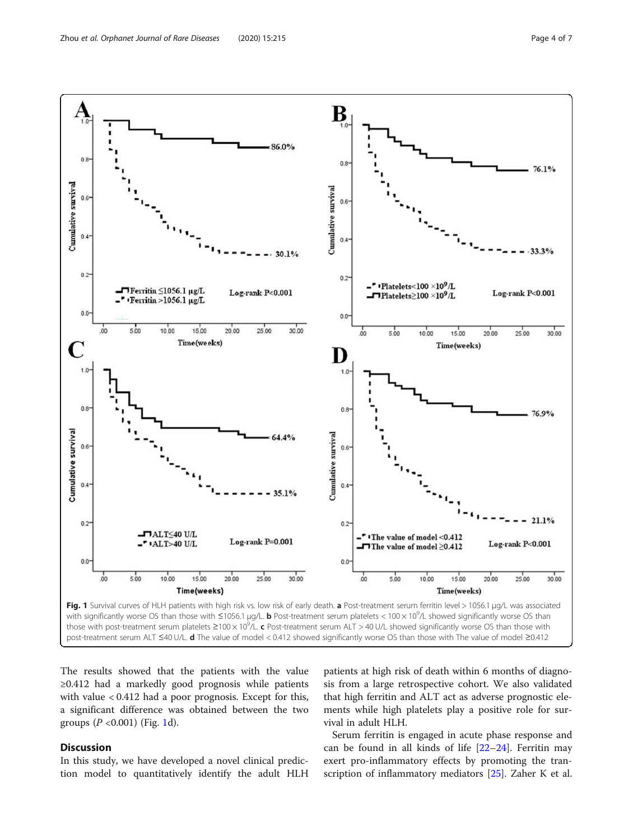<span id="page-3-0"></span>

The results showed that the patients with the value ≥0.412 had a markedly good prognosis while patients with value < 0.412 had a poor prognosis. Except for this, a significant difference was obtained between the two groups ( $P < 0.001$ ) (Fig. 1d).

#### Discussion

In this study, we have developed a novel clinical prediction model to quantitatively identify the adult HLH

patients at high risk of death within 6 months of diagnosis from a large retrospective cohort. We also validated that high ferritin and ALT act as adverse prognostic elements while high platelets play a positive role for survival in adult HLH.

Serum ferritin is engaged in acute phase response and can be found in all kinds of life  $[22-24]$  $[22-24]$  $[22-24]$ . Ferritin may exert pro-inflammatory effects by promoting the transcription of inflammatory mediators [[25\]](#page-6-0). Zaher K et al.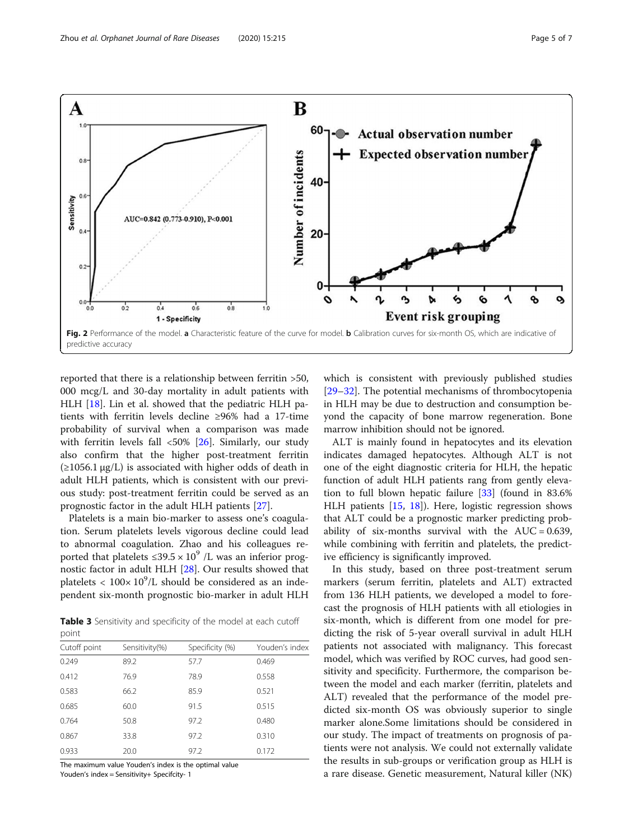<span id="page-4-0"></span>

reported that there is a relationship between ferritin >50, 000 mcg/L and 30-day mortality in adult patients with HLH [\[18\]](#page-6-0). Lin et al. showed that the pediatric HLH patients with ferritin levels decline ≥96% had a 17-time probability of survival when a comparison was made with ferritin levels fall <50% [[26\]](#page-6-0). Similarly, our study also confirm that the higher post-treatment ferritin  $(\geq 1056.1 \,\mu g/L)$  is associated with higher odds of death in adult HLH patients, which is consistent with our previous study: post-treatment ferritin could be served as an prognostic factor in the adult HLH patients [[27](#page-6-0)].

Platelets is a main bio-marker to assess one's coagulation. Serum platelets levels vigorous decline could lead to abnormal coagulation. Zhao and his colleagues reported that platelets  $\leq 39.5 \times 10^9$  /L was an inferior prognostic factor in adult HLH [[28\]](#page-6-0). Our results showed that platelets  $< 100 \times 10^9$ /L should be considered as an independent six-month prognostic bio-marker in adult HLH

Table 3 Sensitivity and specificity of the model at each cutoff point

| P – 11 1 c   |                |                 |                |  |  |  |  |
|--------------|----------------|-----------------|----------------|--|--|--|--|
| Cutoff point | Sensitivity(%) | Specificity (%) | Youden's index |  |  |  |  |
| 0.249        | 89.2           | 57.7            | 0.469          |  |  |  |  |
| 0.412        | 76.9           | 78.9            | 0.558          |  |  |  |  |
| 0.583        | 66.2           | 85.9            | 0.521          |  |  |  |  |
| 0.685        | 60.0           | 91.5            | 0.515          |  |  |  |  |
| 0.764        | 50.8           | 97.2            | 0.480          |  |  |  |  |
| 0.867        | 33.8           | 97.2            | 0.310          |  |  |  |  |
| 0.933        | 20.0           | 97.2            | 0.172          |  |  |  |  |

The maximum value Youden's index is the optimal value

Youden's index = Sensitivity+ Specifcity- 1

which is consistent with previously published studies [[29](#page-6-0)–[32](#page-6-0)]. The potential mechanisms of thrombocytopenia in HLH may be due to destruction and consumption beyond the capacity of bone marrow regeneration. Bone marrow inhibition should not be ignored.

ALT is mainly found in hepatocytes and its elevation indicates damaged hepatocytes. Although ALT is not one of the eight diagnostic criteria for HLH, the hepatic function of adult HLH patients rang from gently elevation to full blown hepatic failure [\[33](#page-6-0)] (found in 83.6% HLH patients [\[15](#page-6-0), [18](#page-6-0)]). Here, logistic regression shows that ALT could be a prognostic marker predicting probability of six-months survival with the  $AUC = 0.639$ , while combining with ferritin and platelets, the predictive efficiency is significantly improved.

In this study, based on three post-treatment serum markers (serum ferritin, platelets and ALT) extracted from 136 HLH patients, we developed a model to forecast the prognosis of HLH patients with all etiologies in six-month, which is different from one model for predicting the risk of 5-year overall survival in adult HLH patients not associated with malignancy. This forecast model, which was verified by ROC curves, had good sensitivity and specificity. Furthermore, the comparison between the model and each marker (ferritin, platelets and ALT) revealed that the performance of the model predicted six-month OS was obviously superior to single marker alone.Some limitations should be considered in our study. The impact of treatments on prognosis of patients were not analysis. We could not externally validate the results in sub-groups or verification group as HLH is a rare disease. Genetic measurement, Natural killer (NK)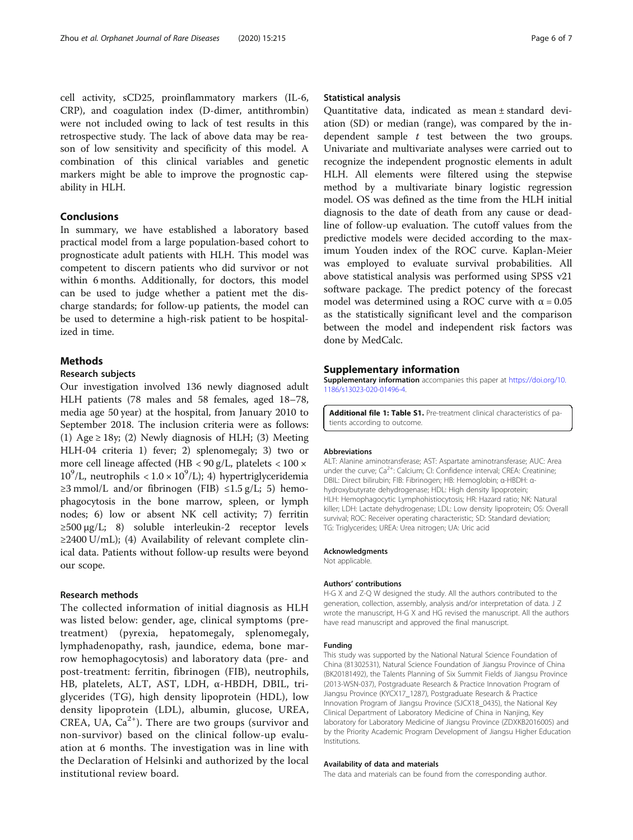<span id="page-5-0"></span>cell activity, sCD25, proinflammatory markers (IL-6, CRP), and coagulation index (D-dimer, antithrombin) were not included owing to lack of test results in this retrospective study. The lack of above data may be reason of low sensitivity and specificity of this model. A combination of this clinical variables and genetic markers might be able to improve the prognostic capability in HLH.

#### Conclusions

In summary, we have established a laboratory based practical model from a large population-based cohort to prognosticate adult patients with HLH. This model was competent to discern patients who did survivor or not within 6 months. Additionally, for doctors, this model can be used to judge whether a patient met the discharge standards; for follow-up patients, the model can be used to determine a high-risk patient to be hospitalized in time.

#### Methods

#### Research subjects

Our investigation involved 136 newly diagnosed adult HLH patients (78 males and 58 females, aged 18–78, media age 50 year) at the hospital, from January 2010 to September 2018. The inclusion criteria were as follows: (1) Age  $\geq$  18y; (2) Newly diagnosis of HLH; (3) Meeting HLH-04 criteria 1) fever; 2) splenomegaly; 3) two or more cell lineage affected (HB < 90 g/L, platelets < 100 ×  $10^9$ /L, neutrophils <  $1.0 \times 10^9$ /L); 4) hypertriglyceridemia  $\geq$ 3 mmol/L and/or fibrinogen (FIB)  $\leq$ 1.5 g/L; 5) hemophagocytosis in the bone marrow, spleen, or lymph nodes; 6) low or absent NK cell activity; 7) ferritin ≥500 μg/L; 8) soluble interleukin-2 receptor levels  $\geq$ 2400 U/mL); (4) Availability of relevant complete clinical data. Patients without follow-up results were beyond our scope.

#### Research methods

The collected information of initial diagnosis as HLH was listed below: gender, age, clinical symptoms (pretreatment) (pyrexia, hepatomegaly, splenomegaly, lymphadenopathy, rash, jaundice, edema, bone marrow hemophagocytosis) and laboratory data (pre- and post-treatment: ferritin, fibrinogen (FIB), neutrophils, HB, platelets, ALT, AST, LDH, α-HBDH, DBIL, triglycerides (TG), high density lipoprotein (HDL), low density lipoprotein (LDL), albumin, glucose, UREA, CREA, UA,  $Ca^{2+}$ ). There are two groups (survivor and non-survivor) based on the clinical follow-up evaluation at 6 months. The investigation was in line with the Declaration of Helsinki and authorized by the local institutional review board.

#### Statistical analysis

Quantitative data, indicated as mean ± standard deviation (SD) or median (range), was compared by the independent sample  $t$  test between the two groups. Univariate and multivariate analyses were carried out to recognize the independent prognostic elements in adult HLH. All elements were filtered using the stepwise method by a multivariate binary logistic regression model. OS was defined as the time from the HLH initial diagnosis to the date of death from any cause or deadline of follow-up evaluation. The cutoff values from the predictive models were decided according to the maximum Youden index of the ROC curve. Kaplan-Meier was employed to evaluate survival probabilities. All above statistical analysis was performed using SPSS v21 software package. The predict potency of the forecast model was determined using a ROC curve with  $\alpha = 0.05$ as the statistically significant level and the comparison between the model and independent risk factors was done by MedCalc.

#### Supplementary information

Supplementary information accompanies this paper at [https://doi.org/10.](https://doi.org/10.1186/s13023-020-01496-4) [1186/s13023-020-01496-4](https://doi.org/10.1186/s13023-020-01496-4).

Additional file 1: Table S1. Pre-treatment clinical characteristics of patients according to outcome.

#### Abbreviations

ALT: Alanine aminotransferase; AST: Aspartate aminotransferase; AUC: Area under the curve;  $Ca^{2+}$ : Calcium; CI: Confidence interval; CREA: Creatinine; DBIL: Direct bilirubin; FIB: Fibrinogen; HB: Hemoglobin; α-HBDH: αhydroxybutyrate dehydrogenase; HDL: High density lipoprotein; HLH: Hemophagocytic Lymphohistiocytosis; HR: Hazard ratio; NK: Natural killer; LDH: Lactate dehydrogenase; LDL: Low density lipoprotein; OS: Overall survival; ROC: Receiver operating characteristic; SD: Standard deviation; TG: Triglycerides; UREA: Urea nitrogen; UA: Uric acid

#### Acknowledgments

Not applicable.

#### Authors' contributions

H-G X and Z-Q W designed the study. All the authors contributed to the generation, collection, assembly, analysis and/or interpretation of data. J Z wrote the manuscript, H-G X and HG revised the manuscript. All the authors have read manuscript and approved the final manuscript.

#### Funding

This study was supported by the National Natural Science Foundation of China (81302531), Natural Science Foundation of Jiangsu Province of China (BK20181492), the Talents Planning of Six Summit Fields of Jiangsu Province (2013-WSN-037), Postgraduate Research & Practice Innovation Program of Jiangsu Province (KYCX17\_1287), Postgraduate Research & Practice Innovation Program of Jiangsu Province (SJCX18\_0435), the National Key Clinical Department of Laboratory Medicine of China in Nanjing, Key laboratory for Laboratory Medicine of Jiangsu Province (ZDXKB2016005) and by the Priority Academic Program Development of Jiangsu Higher Education Institutions.

#### Availability of data and materials

The data and materials can be found from the corresponding author.